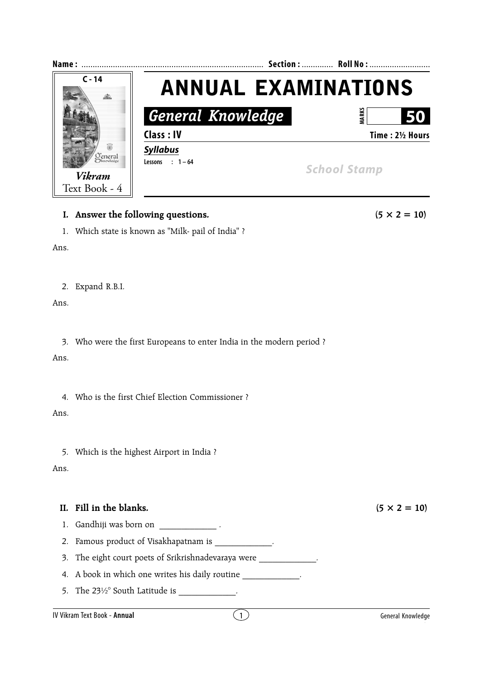

## **I.** Answer the following questions.  $(5 \times 2 = 10)$

1. Which state is known as "Milk- pail of India" ?

Ans.

2. Expand R.B.I.

Ans.

3. Who were the first Europeans to enter India in the modern period ?

Ans.

4. Who is the first Chief Election Commissioner ?

Ans.

5. Which is the highest Airport in India ?

Ans.

## **II.** Fill in the blanks.  $(5 \times 2 = 10)$

1. Gandhiji was born on  $\qquad \qquad$ .

- 2. Famous product of Visakhapatnam is \_\_\_\_\_\_\_\_\_\_\_\_\_.
- 3. The eight court poets of Srikrishnadevaraya were  $\qquad \qquad$ .

4. A book in which one writes his daily routine  $\blacksquare$ 

5. The  $23\frac{1}{2}$ ° South Latitude is \_\_\_\_\_\_\_\_\_\_\_\_\_.